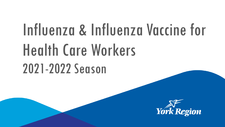# Influenza & Influenza Vaccine for Health Care Workers 2021-2022 Season

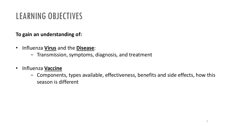### LEARNING OBJECTIVES

#### **To gain an understanding of:**

- Influenza **Virus** and the **Disease**:
	- − Transmission, symptoms, diagnosis, and treatment
- Influenza **Vaccine**
	- − Components, types available, effectiveness, benefits and side effects, how this season is different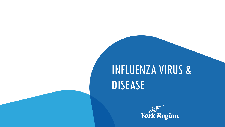## INFLUENZA VIRUS & DISEASE

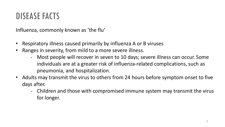#### DISEASE FACTS

Influenza, commonly known as 'the flu'

- Respiratory illness caused primarily by influenza A or B viruses
- Ranges in severity, from mild to a more severe illness.
	- Most people will recover in seven to 10 days; severe illness can occur. Some individuals are at a greater risk of influenza-related complications, such as pneumonia, and hospitalization.
- Adults may transmit the virus to others from 24 hours before symptom onset to five days after.
	- Children and those with compromised immune system may transmit the virus for longer.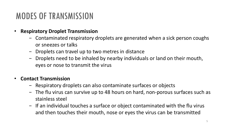### MODES OF TRANSMISSION

- **Respiratory Droplet Transmission** 
	- − Contaminated respiratory droplets are generated when a sick person coughs or sneezes or talks
	- − Droplets can travel up to two metres in distance
	- − Droplets need to be inhaled by nearby individuals or land on their mouth, eyes or nose to transmit the virus

#### • **Contact Transmission**

- − Respiratory droplets can also contaminate surfaces or objects
- − The flu virus can survive up to 48 hours on hard, non-porous surfaces such as stainless steel
- − If an individual touches a surface or object contaminated with the flu virus and then touches their mouth, nose or eyes the virus can be transmitted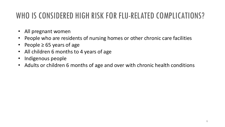#### WHO IS CONSIDERED HIGH RISK FOR FLU-RELATED COMPLICATIONS?

- All pregnant women
- People who are residents of nursing homes or other chronic care facilities
- People ≥ 65 years of age
- All children 6 months to 4 years of age
- Indigenous people
- Adults or children 6 months of age and over with chronic health conditions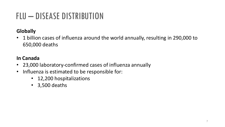## FLU – DISEASE DISTRIBUTION

#### **Globally**

• 1 billion cases of influenza around the world annually, resulting in 290,000 to 650,000 deaths

#### **In Canada**

- 23,000 laboratory-confirmed cases of influenza annually
- Influenza is estimated to be responsible for:
	- 12,200 hospitalizations
	- 3,500 deaths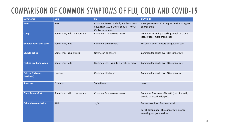#### COMPARISON OF COMMON SYMPTOMS OF FLU, COLD AND COVID-19

| <b>Symptoms</b>                        | <b>Cold</b>                  | Flu                                                                                                         | COVID-19                                                                                                         |  |
|----------------------------------------|------------------------------|-------------------------------------------------------------------------------------------------------------|------------------------------------------------------------------------------------------------------------------|--|
| <b>Fever</b>                           | Rare                         | Common. Starts suddenly and lasts 3 to 4<br>days. High (102°F-104°F or 39°C - 40°C).<br>Chills also common. | A temperature of 37.8 degree Celsius or higher<br>and/or chills                                                  |  |
| <b>Cough</b>                           | Sometimes, mild to moderate  | Common. Can become severe.                                                                                  | Common. Including a barking cough or croup<br>(continuous, more than usual).                                     |  |
| <b>General aches and pains</b>         | Sometimes, mild              | Common, often severe                                                                                        | For adults over 18 years of age: joint pain                                                                      |  |
| <b>Muscle aches</b>                    | Sometimes, usually mild      | Often, can be severe                                                                                        | Common for adults over 18 years of age.                                                                          |  |
| <b>Feeling tired and weak</b>          | Sometimes, mild              | Common, may last 2 to 3 weeks or more                                                                       | Common for adults over 18 years of age.                                                                          |  |
| <b>Fatigue (extreme)</b><br>tiredness) | Unusual                      | Common, starts early                                                                                        | Common for adults over 18 years of age.                                                                          |  |
| <b>Sneezing</b>                        | Common                       | Sometimes                                                                                                   | N/A                                                                                                              |  |
| <b>Chest Discomfort</b>                | Sometimes. Mild to moderate. | Common. Can become severe.                                                                                  | Common. Shortness of breath (out of breath,<br>unable to breathe deeply).                                        |  |
| <b>Other characteristics</b>           | N/A                          | N/A                                                                                                         | Decrease or loss of taste or smell.<br>For children under 18 years of age: nausea,<br>vomiting, and/or diarrhea. |  |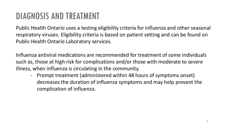#### DIAGNOSIS AND TREATMENT

Public Health Ontario uses a testing eligibility criteria for influenza and other seasonal respiratory viruses. Eligibility criteria is based on patient setting and can be found on Public Health Ontario Laboratory services.

Influenza antiviral medications are recommended for treatment of some individuals such as, those at high risk for complications and/or those with moderate to severe illness, when influenza is circulating in the community.

- Prompt treatment (administered within 48 hours of symptoms onset) decreases the duration of influenza symptoms and may help prevent the complication of influenza.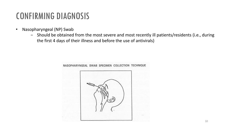#### CONFIRMING DIAGNOSIS

- Nasopharyngeal (NP) Swab
	- − Should be obtained from the most severe and most recently ill patients/residents (i.e., during the first 4 days of their illness and before the use of antivirals)



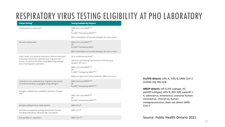#### RESPIRATORY VIRUS TESTING ELIGIBILITY AT PHO LABORATORY

| <b>Patient Setting1</b>                                                                                                                                                               | <b>Testing Available By Request</b>                                                                               |
|---------------------------------------------------------------------------------------------------------------------------------------------------------------------------------------|-------------------------------------------------------------------------------------------------------------------|
| Hospitalized (all inpatients) <sup>2</sup>                                                                                                                                            | SARS-CoV-2 and MRVP <sup>4,5,6</sup><br>OR<br>FLUVID <sup>3,4</sup> followed by MRVP <sup>4,5,6</sup>             |
|                                                                                                                                                                                       | (Both combinations will provide testing for the same viruses.)                                                    |
| Remote communities                                                                                                                                                                    | SARS-CoV-2 and MRVP <sup>4,5,6</sup><br>OR.<br>FLUVID <sup>3,4</sup> followed by MRVP                             |
|                                                                                                                                                                                       | (Both combinations will provide testing for the same viruses.)                                                    |
| Public health unit declared respiratory infection outbreaks<br>(including institutional outbreaks [e.g. long-term care<br>homes, correctional facilities, congregate living settings] | Up to 4 outbreak specimens <sup>7</sup> :<br>Influenza rapid testing <sup>8</sup> (will be done if PCR testing is |
| and school/daycare outbreaks.)                                                                                                                                                        | delayed >24 hours)                                                                                                |
|                                                                                                                                                                                       | SARS-CoV-2 and MRVP <sup>4,5,6</sup><br>OR<br>FLUVID <sup>3,4</sup> followed by MRVP <sup>4,5,6</sup>             |
|                                                                                                                                                                                       | Additional specimens will be tested for SARS-CoV-2 only. <sup>7</sup>                                             |
| Institutions (non-outbreak) (e.g. long-term care homes,<br>correctional facilities, congregate living settings) <sup>11</sup>                                                         | SARS-CoV-2 and MRVP <sup>4,5,6</sup><br>OR.<br>FLUVID <sup>3,4</sup> followed by MRVP <sup>4,5,6</sup>            |
| Emergency Department; paediatric patients (<18 years                                                                                                                                  |                                                                                                                   |
| old <sup>12</sup>                                                                                                                                                                     | SARS-CoV-2 and MRVP <sup>4,5,6</sup><br>ΟR<br>FLUVID <sup>3,4</sup> followed by MRVP <sup>4,5,6</sup>             |
| <b>Emergency Department; adult patients</b>                                                                                                                                           | SARS-CoV-29                                                                                                       |
| Ambulatory/outpatient settings, assessment centres,<br>including ambulatory influenza high risk patients                                                                              | SARS-CoV-29                                                                                                       |
| Not specified on requisition                                                                                                                                                          | SARS-CoV-2 <sup>1,9</sup>                                                                                         |

**FLUVID detects:** influ A, influ B, SARS-CoV-2 (COVID-19), RSV A/B

**MRVP detects:** infl A (H3 subtype, H1 pdm09 subtype), influ B, RSV A/B, parainfl 1- 4, adenovirus, enterovirus, seasonal human coronavirus, rhinovirus, human metapneumovirus; does not detect SARS-CoV-2.

Source: Public Health Ontario 2021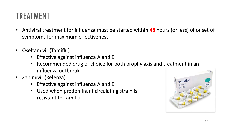### TREATMENT

- Antiviral treatment for influenza must be started within **48** hours (or less) of onset of symptoms for maximum effectiveness
- Oseltamivir (Tamiflu)
	- Effective against influenza A and B
	- Recommended drug of choice for both prophylaxis and treatment in an influenza outbreak
- Zanimivir (Relenza)
	- Effective against influenza A and B
	- Used when predominant circulating strain is resistant to Tamiflu

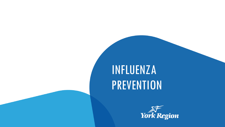## INFLUENZA PREVENTION

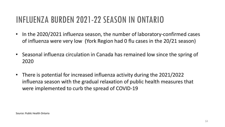#### INFLUENZA BURDEN 2021-22 SEASON IN ONTARIO

- In the 2020/2021 influenza season, the number of laboratory-confirmed cases of influenza were very low (York Region had 0 flu cases in the 20/21 season)
- Seasonal influenza circulation in Canada has remained low since the spring of 2020
- There is potential for increased influenza activity during the 2021/2022 influenza season with the gradual relaxation of public health measures that were implemented to curb the spread of COVID-19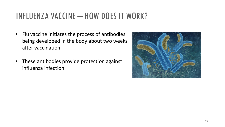#### INFLUENZA VACCINE – HOW DOES IT WORK?

- Flu vaccine initiates the process of antibodies being developed in the body about two weeks after vaccination
- These antibodies provide protection against influenza infection

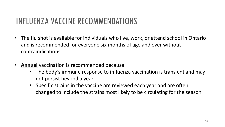#### INFLUENZA VACCINE RECOMMENDATIONS

- The flu shot is available for individuals who live, work, or attend school in Ontario and is recommended for everyone six months of age and over without contraindications
- **Annual** vaccination is recommended because:
	- The body's immune response to influenza vaccination is transient and may not persist beyond a year
	- Specific strains in the vaccine are reviewed each year and are often changed to include the strains most likely to be circulating for the season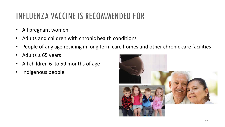## INFLUENZA VACCINE IS RECOMMENDED FOR

- All pregnant women
- Adults and children with chronic health conditions
- People of any age residing in long term care homes and other chronic care facilities
- Adults ≥ 65 years
- All children 6 to 59 months of age
- Indigenous people

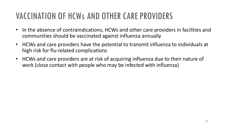### VACCINATION OF HCWs AND OTHER CARE PROVIDERS

- In the absence of contraindications, HCWs and other care providers in facilities and communities should be vaccinated against influenza annually
- HCWs and care providers have the potential to transmit influenza to individuals at high risk for flu-related complications
- HCWs and care providers are at risk of acquiring influenza due to their nature of work (close contact with people who may be infected with influenza)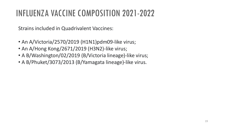#### INFLUENZA VACCINE COMPOSITION 2021-2022

Strains included in Quadrivalent Vaccines:

- An A/Victoria/2570/2019 (H1N1)pdm09-like virus;
- An A/Hong Kong/2671/2019 (H3N2)-like virus;
- A B/Washington/02/2019 (B/Victoria lineage)-like virus;
- A B/Phuket/3073/2013 (B/Yamagata lineage)-like virus.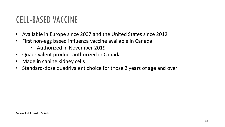#### CELL-BASED VACCINE

- Available in Europe since 2007 and the United States since 2012
- First non-egg based influenza vaccine available in Canada
	- Authorized in November 2019
- Quadrivalent product authorized in Canada
- Made in canine kidney cells
- Standard-dose quadrivalent choice for those 2 years of age and over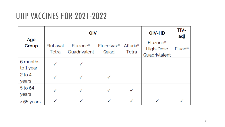#### UIIP VACCINES FOR 2021-2022

| Age<br>Group          | QIV               |                                      |                                |                          | QIV-HD                                             | TIV-<br>adj        |
|-----------------------|-------------------|--------------------------------------|--------------------------------|--------------------------|----------------------------------------------------|--------------------|
|                       | FluLaval<br>Tetra | Fluzone <sup>®</sup><br>Quadrivalent | Flucelvax <sup>®</sup><br>Quad | <b>Afluria®</b><br>Tetra | Fluzone <sup>®</sup><br>High-Dose<br>Quadrivlalent | Fluad <sup>®</sup> |
| 6 months<br>to 1 year | ✓                 |                                      |                                |                          |                                                    |                    |
| $2$ to 4<br>years     |                   |                                      |                                |                          |                                                    |                    |
| 5 to 64<br>years      | ✓                 |                                      |                                |                          |                                                    |                    |
| $\geq 65$ years       | ✓                 |                                      |                                |                          |                                                    |                    |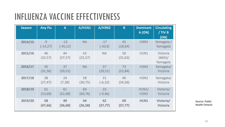#### INFLUENZA VACCINE EFFECTIVENESS

| <b>Season</b> | <b>Any Flu</b> | A                 | A/H1N1         | A/H3N2           | B              | <b>Dominant</b><br>A (ON) | <b>Circulating</b><br>/ TIV B<br>(ON) |
|---------------|----------------|-------------------|----------------|------------------|----------------|---------------------------|---------------------------------------|
| 2014/15       | 9<br>(-14,27)  | $-13$<br>(-45,12) | <b>NA</b>      | $-17$<br>(-50,9) | 45<br>(18, 64) | <b>H3N2</b>               | Yamagata /<br>Yamagata                |
| 2015/16       | 46<br>(32, 57) | 44<br>(27, 57)    | 43<br>(25, 57) | <b>NA</b>        | 50<br>(31, 63) | <b>H1N1</b>               | Victoria<br>(66%)/<br>Yamagata        |
| 2016/17       | 45<br>(31, 56) | 37<br>(20, 51)    | <b>NA</b>      | 37<br>(20, 51)   | 73<br>(52,84)  | <b>H3N2</b>               | Yamagata/<br>Victoria                 |
| 2017/18       | 38<br>(27, 47) | 24<br>(7, 38)     | 58<br>(30, 75) | 15<br>$(-6, 32)$ | 46<br>(34, 56) | <b>H3N2</b>               | Yamagata/<br>Victoria                 |
| 2018/19       | 61<br>(53, 69) | 61<br>(52, 68)    | 69<br>(60, 76) | 23<br>(-9,46)    |                | H1N1/<br><b>H3N2</b>      | Victoria/<br>Victoria                 |
| 2019/20       | 58<br>(47, 66) | 49<br>(36, 60)    | 44<br>(26, 58) | 62<br>(37, 77)   | 69<br>(57,77)  | <b>H1N1</b>               | Victoria/<br><b>Victoria</b>          |

Source: Public Health Ontario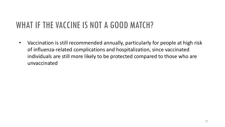### WHAT IF THE VACCINE IS NOT A GOOD MATCH?

• Vaccination is still recommended annually, particularly for people at high risk of influenza-related complications and hospitalization, since vaccinated individuals are still more likely to be protected compared to those who are unvaccinated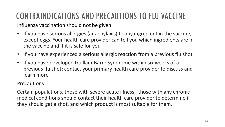## CONTRAINDICATIONS AND PRECAUTIONS TO FLU VACCINE

Influenza vaccination should not be given:

- If you have serious allergies (anaphylaxis) to any ingredient in the vaccine, except eggs. Your health care provider can tell you which ingredients are in the vaccine and if it is safe for you
- If you have experienced a serious allergic reaction from a previous flu shot
- If you have developed Guillain-Barre Syndrome within six weeks of a previous flu shot; contact your primary health care provider to discuss and learn more

Precautions:

Certain populations, those with severe acute illness, those with any chronic medical conditions should contact their health care provider to determine if they should get a shot, and which product is most suitable for them.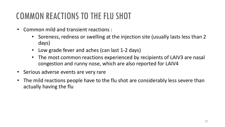### COMMON REACTIONS TO THE FLU SHOT

- Common mild and transient reactions :
	- Soreness, redness or swelling at the injection site (usually lasts less than 2 days)
	- Low grade fever and aches (can last 1-2 days)
	- The most common reactions experienced by recipients of LAIV3 are nasal congestion and runny nose, which are also reported for LAIV4
- Serious adverse events are very rare
- The mild reactions people have to the flu shot are considerably less severe than actually having the flu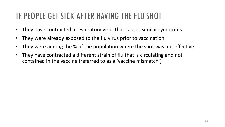### IF PEOPLE GET SICK AFTER HAVING THE FLU SHOT

- They have contracted a respiratory virus that causes similar symptoms
- They were already exposed to the flu virus prior to vaccination
- They were among the % of the population where the shot was not effective
- They have contracted a different strain of flu that is circulating and not contained in the vaccine (referred to as a 'vaccine mismatch')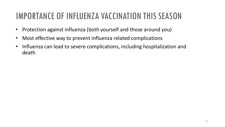### IMPORTANCE OF INFLUENZA VACCINATION THIS SEASON

- Protection against influenza (both yourself and those around you)
- Most effective way to prevent influenza related complications
- Influenza can lead to severe complications, including hospitalization and death.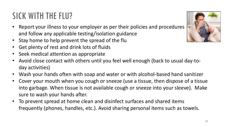#### SICK WITH THE FLU?

- Report your illness to your employer as per their policies and procedures and follow any applicable testing/isolation guidance
- Stay home to help prevent the spread of the flu
- Get plenty of rest and drink lots of fluids
- Seek medical attention as appropriate
- Avoid close contact with others until you feel well enough (back to usual day-today activities)
- Wash your hands often with soap and water or with alcohol-based hand sanitizer
- Cover your mouth when you cough or sneeze (use a tissue, then dispose of a tissue into garbage. When tissue is not available cough or sneeze into your sleeve). Make sure to wash your hands after.
- To prevent spread at home clean and disinfect surfaces and shared items frequently (phones, handles, etc.). Avoid sharing personal items such as towels.

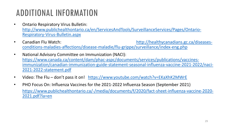### ADDITIONAL INFORMATION

- Ontario Respiratory Virus Bulletin: [http://www.publichealthontario.ca/en/ServicesAndTools/SurveillanceServices/Pages/Ontario-](http://www.publichealthontario.ca/en/ServicesAndTools/SurveillanceServices/Pages/Ontario-Respiratory-Virus-Bulletin.aspx)Respiratory-Virus-Bulletin.aspx
- [Canadian Flu Watch: http://healthycanadians.gc.ca/diseases](http://healthycanadians.gc.ca/diseases-conditions-maladies-affections/disease-maladie/flu-grippe/surveillance/index-eng.php)conditions-maladies-affections/disease-maladie/flu-grippe/surveillance/index-eng.php
- National Advisory Committee on Immunization (NACI): https://www.canada.ca/content/dam/phac-aspc/documents/services/publications/vaccines[immunization/canadian-immunization-guide-statement-seasonal-influenza-vaccine-2021-2022/naci-](https://www.canada.ca/content/dam/phac-aspc/documents/services/publications/vaccines-immunization/canadian-immunization-guide-statement-seasonal-influenza-vaccine-2021-2022/naci-2021-2022-statement.pdf)2021-2022-statement.pdf
- Video: The Flu don't pass it on! <https://www.youtube.com/watch?v=EKaXhK2MWrE>
- PHO Focus On: Influenza Vaccines for the 2021-2022 Influenza Season (September 2021) [https://www.publichealthontario.ca/-/media/documents/f/2020/fact-sheet-influenza-vaccine-2020-](https://www.publichealthontario.ca/-/media/documents/f/2020/fact-sheet-influenza-vaccine-2020-2021.pdf?la=en) 2021.pdf?la=en